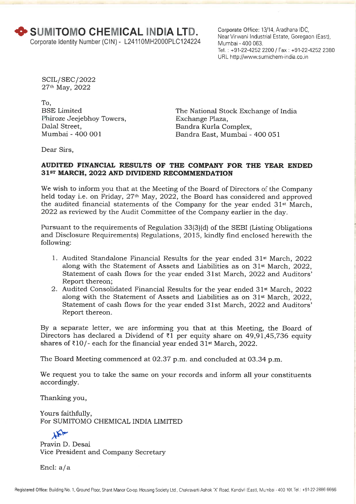Corporate Office: 13/14, Aradhana IDC, Near Virwani Industrial Estate, Goregaon (East), Mumbai - 400 063. Tel. : +91-22-4252 2200 / Fax : +91-22-4252 2380 URL http://www.sumichem-india.co.in

SCIL/ SEC/ 2022 27th May, 2022

To, BSE Limited Phiroze Jeejebhoy Towers, Dalal Street, Mumbai - 400 001

The National Stock Exchange of India Exchange Plaza, Bandra Kurla Complex, Bandra East, Mumbai - 400 051

Dear Sirs,

### **AUDITED FINANCIAL RESULTS OF THE COMPANY FOR THE YEAR ENDED 31ST MARCH, 2022 AND DIVIDEND RECOMMENDATION**

We wish to inform you that at the Meeting of the Board of Directors of the Company held today i.e. on Friday, 27<sup>th</sup> May, 2022, the Board has considered and approved the audited financial statements of the Company for the year ended 31<sup>st</sup> March, 2022 as reviewed by the Audit Committee of the Company earlier in the day.

Pursuant to the requirements of Regulation 33(3)(d) of the SEBI (Listing Obligations and Disclosure Requirements) Regulations, 2015, kindly find enclosed herewith the following:

- 1. Audited Standalone Financial Results for the year ended 31st March, 2022 along with the Statement of Assets and Liabilities as on 31st March, 2022, Statement of cash flows for the year ended 31st March, 2022 and Auditors' Report thereon;
- 2. Audited Consolidated Financial Results for the year ended 31st March, 2022 along with the Statement of Assets and Liabilities as on 31st March, 2022, Statement of cash flows for the year ended 31st March, 2022 and Auditors' Report thereon.

By a separate letter, we are informing you that at this Meeting, the Board of Directors has declared a Dividend of  $\bar{\tau}$ 1 per equity share on 49,91,45,736 equity shares of  $\text{\texttt{310}}$ /- each for the financial year ended 31st March, 2022.

The Board Meeting commenced at 02.37 p.m. and concluded at 03.34 p.m.

We request you to take the same on your records and inform all your constituents accordingly.

Thanking you,

Yours faithfully, For SUMITOMO CHEMICAL INDIA LIMITED

TPL Pravin D. Desai Vice President and Company Secretary

Encl: a/a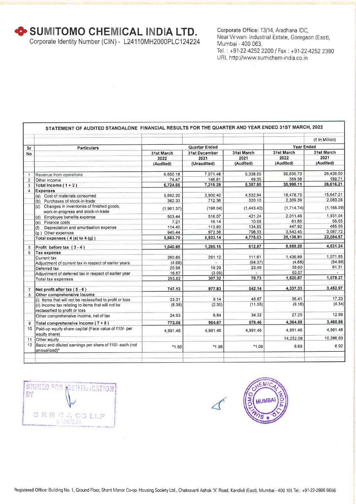**+ SUMITOMO CHEMICAL INDIA LTD.** 

Corporate Identity Number (CIN) - L24110MH2000PLC124224

Corporate Office: 13/14, Aradhana IDC, Near Virwani Industrial Estate, Goregaon (East), Mumbai - 400 063. Tel.: +91-22-4252 2200 / Fax : +91-22-4252 2380 URL http://www.sumichem-india.co.in

|                |                                                                                      |             |                      |            |                   | (₹ In Million) |
|----------------|--------------------------------------------------------------------------------------|-------------|----------------------|------------|-------------------|----------------|
|                |                                                                                      |             |                      |            |                   |                |
| Sr             | <b>Particulars</b>                                                                   |             | Quarter Ended        |            | <b>Year Ended</b> |                |
| <b>No</b>      |                                                                                      | 31st March  | <b>31st December</b> | 31st March | 31st March        | 31st March     |
|                |                                                                                      | 2022        | 2021                 | 2021       | 2022              | 2021           |
|                |                                                                                      | (Audited)   | (Unaudited)          | (Audited)  | (Audited)         | (Audited)      |
| $\mathbf{1}$   | Revenue from operations                                                              | 6,650.18    | 7.071.48             | 5,338.55   | 30,635.73         | 26,426.50      |
| $\overline{2}$ | Other income                                                                         | 74.47       | 146,81               | 49.35      | 359.38            | 189.71         |
| 3              | Total income $(1 + 2)$                                                               | 6,724.65    | 7,218.29             | 5,387.90   | 30,995.11         | 26,616.21      |
| 4              | <b>Expenses</b>                                                                      |             |                      |            |                   |                |
|                | (a) Cost of materials consumed                                                       | 5,692.20    | 3.900.40             | 4,532.94   | 18,478.75         | 15,647.21      |
|                | (b) Purchases of stock-in-trade                                                      | 382.33      | 712.36               | 320.10     | 2,309.39          | 2,083.28       |
|                | (c) Changes in inventories of finished goods,<br>work-in-progress and stock-in-trade | (1, 961.37) | (198.04)             | (1,443.42) | (1,714.74)        | (1, 185.39)    |
|                | (d) Employee benefits expense                                                        | 503.44      | 516.07               | 421.24     | 2,011.49          | 1,931.04       |
|                | (e) Finance costs                                                                    | 7.21        | 16.14                | 10.99      | 61.65             | 55.55          |
|                | Depreciation and amortisation expense<br>(f)                                         | 114.45      | 113.83               | 134.85     | 447.92            | 465.56         |
|                | (g) Other expenses                                                                   | 945.44      | 872.38               | 798.33     | 3,542.45          | 3,087.72       |
|                | Total expenses $(4(a)$ to $4(q)$ )                                                   | 5,683.70    | 5,933.14             | 4,775.03   | 25,136.91         | 22,084.97      |
| 5              | Profit before tax (3-4)                                                              | 1.040.95    | 1,285.15             | 612.87     | 5,858.20          | 4,531.24       |
| 6              | <b>Tax expense</b>                                                                   |             |                      |            |                   |                |
|                | Current tax                                                                          | 260.85      | 291.12               | 111.61     | 1,436.88          | 1,071.85       |
|                | Adjustment of current tax in respect of earlier years                                | (4.68)      |                      | (64.37)    | (4.68)            | (54.89)        |
|                | Deferred tax                                                                         | 20.98       | 19.29                | 23.49      | 38.60             | 61.31          |
|                | Adjustment of deferred tax in respect of earlier year                                | 16.67       | (3.09)               |            | 50.07             | 1,078.27       |
|                | <b>Total tax expenses</b>                                                            | 293.82      | 307.32               | 70.73      | 1,520.87          |                |
| $\overline{7}$ | Net profit after tax $(5 - 6)$                                                       | 747.13      | 977.83               | 542.14     | 4,337.33          | 3,452.97       |
| 8              | Other comprehensive income                                                           |             |                      |            |                   |                |
|                | (i) Items that will not be reclassified to profit or loss                            | 33.31       | 9.14                 | 45.87      | 36.41             | 17.23          |
|                | (ii) Income tax relating to items that will not be<br>reclassified to profit or loss | (8.38)      | (2.30)               | (11.55)    | (9.16)            | (4.34)         |
|                | Other comprehensive income, net of tax                                               | 24.93       | 6.84                 | 34.32      | 27.25             | 12.89          |
| 9              | Total comprehensive income (7+8)                                                     | 772.06      | 984.67               | 576.46     | 4,364.58          | 3,465.86       |
| 10             | Paid-up equity share capital (Face value of ₹10/- per<br>equity share)               | 4,991.46    | 4,991.46             | 4,991.46   | 4,991.46          | 4,991.46       |
| 11             | Other equity                                                                         |             |                      |            | 14,252.08         | 10,286.83      |
| 12             | Basic and diluted earnings per share of ₹10/- each (not<br>annualised)*              | $*1.50$     | *1.96l               | *1.09      | 8.69              | 6.92           |

SIGNED FOR NEWTH CATION BY SRBCACOLLA

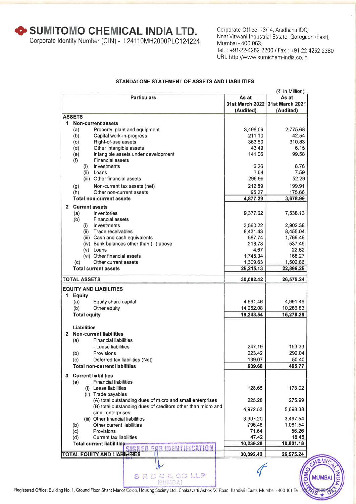**+ SUMITOMO CHEMICAL INDIA LTD.** 

Corporate Identity Number (CIN) - L24110MH2000PLC124224

Corporate Office: 13/14, Aradhana IDC, Near Virwani Industrial Estate, Goregaon (East), Mumbai - 400 063. Tel. : +91-22-4252 2200 / Fax : +91-22-4252 2380 URL http://www.sumichem-india.co.in

#### **STANDALONE STATEMENT OF ASSETS AND LIABILITIES**

|              |                                                                              |                        | (₹ In Million)         |
|--------------|------------------------------------------------------------------------------|------------------------|------------------------|
|              | <b>Particulars</b>                                                           | As at                  | As at                  |
|              |                                                                              | <b>31st March 2022</b> | <b>31st March 2021</b> |
|              |                                                                              | (Audited)              | (Audited)              |
|              | <b>ASSETS</b>                                                                |                        |                        |
| 1.           | <b>Non-current assets</b>                                                    |                        |                        |
|              | Property, plant and equipment<br>(a)                                         | 3,496.09               | 2,775.68               |
|              | Capital work-in-progress<br>(b)                                              | 211.10<br>363.60       | 42.54<br>310.83        |
|              | Right-of-use assets<br>(c)                                                   | 43.49                  |                        |
|              | (d)<br>Other intangible assets<br>Intangible assets under development<br>(e) | 141.06                 | 6.15<br>99.58          |
|              | <b>Financial assets</b><br>(f)                                               |                        |                        |
|              | Investments<br>(i)                                                           | 6.26                   | 8.76                   |
|              | Loans<br>(ii)                                                                | 7.54                   | 7.59                   |
|              | (iii) Other financial assets                                                 | 299.99                 | 52.29                  |
|              |                                                                              |                        |                        |
|              | Non-current tax assets (net)<br>(g)                                          | 212.89                 | 199.91                 |
|              | Other non-current assets<br>(h)                                              | 95.27                  | 175.66                 |
|              | <b>Total non-current assets</b>                                              | 4,877.29               | 3,678.99               |
| $\mathbf{2}$ | <b>Current assets</b>                                                        |                        |                        |
|              | (a)<br>Inventories                                                           | 9,377.62               | 7,538.13               |
|              | (b)<br><b>Financial assets</b>                                               |                        |                        |
|              | Investments<br>(i)                                                           | 3,560.22               | 2,902.38               |
|              | (ii) Trade receivables                                                       | 8,431.43               | 8,455.04               |
|              | (iii) Cash and cash equivalents                                              | 567.74                 | 1,769.46               |
|              | (iv) Bank balances other than (iii) above                                    | 218.78                 | 537.49                 |
|              | (v) Loans                                                                    | 4.67                   | 22.62                  |
|              | (vi) Other financial assets                                                  | 1,745.04               | 168.27                 |
|              | Other current assets<br>(c)                                                  | 1,309.63               | 1,502.86               |
|              | <b>Total current assets</b>                                                  | 25,215.13              | 22,896.25              |
|              | <b>TOTAL ASSETS</b>                                                          | 30,092.42              | 26,575.24              |
|              | <b>EQUITY AND LIABILITIES</b>                                                |                        |                        |
| 1            | <b>Equity</b>                                                                |                        |                        |
|              | (a)<br>Equity share capital                                                  | 4,991.46               | 4,991.46               |
|              | (b)<br>Other equity                                                          | 14,252.08              | 10,286.83              |
|              | <b>Total equity</b>                                                          | 19,243.54              | 15,278.29              |
|              |                                                                              |                        |                        |
|              | <b>Liabilities</b>                                                           |                        |                        |
| $\mathbf{2}$ | <b>Non-current liabilities</b>                                               |                        |                        |
|              | <b>Financial liabilities</b><br>(a)                                          |                        |                        |
|              | - Lease liabilities                                                          | 247.19                 | 153.33                 |
|              | (b)<br>Provisions                                                            | 223.42                 | 292.04                 |
|              | (c)<br>Deferred tax liabilities (Net)                                        | 139.07                 | 50.40                  |
|              | <b>Total non-current liabilities</b>                                         | 609.68                 | 495.77                 |
|              |                                                                              |                        |                        |
| 3            | <b>Current liabilities</b>                                                   |                        |                        |
|              | <b>Financial liabilities</b><br>(a)                                          |                        |                        |
|              | (i) Lease liabilities                                                        | 128.65                 | 173.02                 |
|              | (ii) Trade payables                                                          |                        |                        |
|              | (A) total outstanding dues of micro and small enterprises                    | 225.28                 | 275.99                 |
|              | (B) total outstanding dues of creditors other than micro and                 | 4,972.53               | 5,698.38               |
|              | small enterprises                                                            |                        |                        |
|              | (iii) Other financial liabilities                                            | 3,997.20               | 3,497.54               |
|              | Other current liabilities<br>(b)<br>Provisions                               | 796.48<br>71.64        | 1,081.54<br>56.26      |
|              | (c)<br><b>Current tax liabilities</b>                                        | 47.42                  |                        |
|              | (d)<br>Total current liabilities                                             | 10,239.20              | 18.45<br>10,801.18     |
|              | SIGNED FOR IDENTIFICATION                                                    |                        |                        |
|              | <b>TOTAL EQUITY AND LIABILITIES</b>                                          | 30,092.42              | 26,575.24              |
|              |                                                                              |                        |                        |
|              |                                                                              |                        |                        |
|              | SRBCACOLLP                                                                   |                        |                        |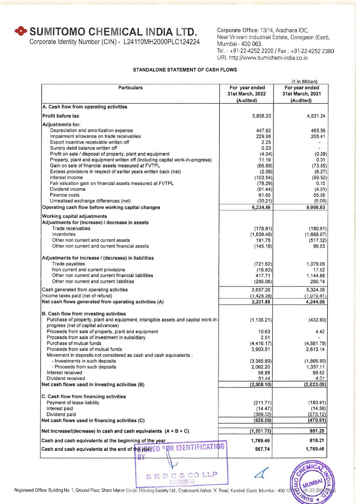**+ SUMITOMO CHEMICAL INDIA LTD.** 

Corporate Identity Number (CIN) - L24110MH2000PLC124224

Corporate Office: 13/14, Aradhana IDC, Near Virwani Industrial Estate, Goregaon (East), Mumbai - 400 063. Tel. : +91-22-4252 2200 / Fax : +91-22-4252 2380 URL http://www.sumichem-india.co.in

#### **STANDALONE STATEMENT OF CASH FLOWS**

|                                                                                   |                  | (₹ In Million)   |
|-----------------------------------------------------------------------------------|------------------|------------------|
| <b>Particulars</b>                                                                | For year ended   | For year ended   |
|                                                                                   | 31st March, 2022 | 31st March, 2021 |
|                                                                                   | (Audited)        | (Audited)        |
| A. Cash flow from operating activities                                            |                  |                  |
|                                                                                   |                  |                  |
| Profit before tax                                                                 | 5.858.20         | 4,531.24         |
| Adjustments for:                                                                  |                  |                  |
| Depreciation and amortization expense                                             | 447.92           | 465.56           |
| Impairment allowance on trade receivables                                         | 229.95           | 205.41           |
| Export incentive receivable written off                                           | 2.25             | e.               |
|                                                                                   | 0.23             |                  |
| Sundry debit balance written off                                                  |                  | $\omega$ :       |
| Profit on sale / disposal of property, plant and equipment                        | (4.04)           | (0.29)           |
| Property, plant and equipment written off (including capital work-in-progress)    | 11.19            | 0.01             |
| Gain on sale of financial assets measured at FVTPL                                | (66.89)          | (73.85)          |
| Excess provisions in respect of earlier years written back (net)                  | (2.08)           | (6.27)           |
| interest income                                                                   | (103.54)         | (99.52)          |
| Fair valuation gain on financial assets measured at FVTPL                         | (78.29)          | 0.10             |
| Dividend income                                                                   | (91.44)          | (4.01)           |
| Finance costs                                                                     | 61.65            | 55.55            |
| Unrealised exchange differences (net)                                             | (30.21)          | (5.00)           |
| Operating cash flow before working capital changes                                | 6,234.89         | 5,068.93         |
|                                                                                   |                  |                  |
| Working capital adjustments                                                       |                  |                  |
| Adjustments for (increase) / decrease in assets                                   |                  |                  |
| Trade receivables                                                                 | (178.91)         | (180.91)         |
| Inventories                                                                       | (1,839.49)       | (1,668.07)       |
| Other non current and current assets                                              |                  |                  |
|                                                                                   | 191.75           | (517.32)         |
| Other non current and current financial assets                                    | (145.18)         | 99.53            |
|                                                                                   |                  |                  |
| Adjustments for increase / (decrease) in liabilities                              |                  |                  |
| Trade payables                                                                    | (721.62)         | 1,079.06         |
| Non current and current provisions                                                | (16.83)          | 17.52            |
| Other non current and current financial liabilities                               | 417.71           | 1,144.88         |
| Other non current and current liabilities                                         | (285.06)         | 280.74           |
| Cash generated from operating activities                                          | 3,657.26         | 5,324.36         |
| Income taxes paid (net of refund)                                                 | (1,425.38)       | (1,079.41)       |
| Net cash flows generated from operating activities (A)                            | 2,231.88         | 4,244.95         |
|                                                                                   |                  |                  |
| B. Cash flow from investing activities                                            |                  |                  |
|                                                                                   |                  |                  |
| Purchase of property, plant and equipment, intangible assets and capital work-in- | (1, 135.21)      | (432.60)         |
| progress (net of capital advances)                                                |                  |                  |
| Proceeds from sale of property, plant and equipment                               | 10.63            | 4.42             |
| Proceeds from sale of investment in subsidiary                                    | 2.51             |                  |
| Purchase of mutual funds                                                          | (4, 416.17)      | (4,581.79)       |
| Proceeds from sale of mutual funds                                                | 3,903.51         | 2,613.14         |
| Movement in deposits not considered as cash and cash equivalents :                |                  |                  |
| - Investments in such deposits                                                    | (3,385.89)       | (1,866.90)       |
| - Proceeds from such deposits                                                     | 2,062.20         | 1,337.11         |
| Interest received                                                                 | 58.88            | 99.52            |
| Dividend received                                                                 | 91.44            | 4.01             |
| Net cash flows used in investing activities (B)                                   | (2,808.10)       | (2,823.09)       |
|                                                                                   |                  |                  |
| C. Cash flow from financing activities                                            |                  |                  |
|                                                                                   |                  | (180.91)         |
| Payment of lease liability                                                        | (211.71)         |                  |
| Interest paid                                                                     | (14.47)          | (14.58)          |
| Dividend paid                                                                     | (399.32)         | (275.12)         |
| Net cash flows used in financing activities (C)                                   | (625.50)         | (470.61)         |
| Net increase/(decrease) in cash and cash equivalents $(A + B + C)$                | (1, 201.72)      | 951.25           |
|                                                                                   |                  |                  |
| Cash and cash equivalents at the beginning of the year                            | 1,769.46         | 818.21           |
|                                                                                   | 567.74           | 1,769.46         |
|                                                                                   |                  |                  |
| ₽¥                                                                                |                  |                  |
|                                                                                   |                  |                  |

Registered Office: Building No. 1, Ground Floor, Shant Manor Co-op. Housing Society Ltd., Chakravarti Ashok 'X' Road, Kandivli (East), Mumbai - 400 10

S R B C & CO LLP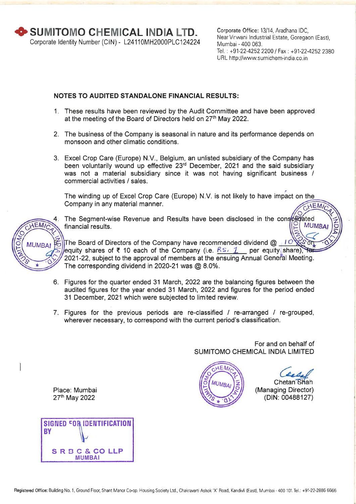Corporate Office: 13/14, Aradhana IDC, Near Virwani Industrial Estate, Goregaon (East), Mumbai - 400 063. Tel. : +91-22-4252 2200 / Fax : +91-22-4252 2380 URL http://www.sumichem-india.co.in

### **NOTES TO AUDITED STANDALONE FINANCIAL RESULTS:**

- 1. These results have been reviewed by the Audit Committee and have been approved at the meeting of the Board of Directors held on 27<sup>th</sup> May 2022.
- 2. The business of the Company is seasonal in nature and its performance depends on monsoon and other climatic conditions.
- 3. Excel Crop Care (Europe) N.V., Belgium, an unlisted subsidiary of the Company has been voluntarily wound up effective 23<sup>rd</sup> December, 2021 and the said subsidiary was not a material subsidiary since it was not having significant business / commercial activities / sales.

The winding up of Excel Crop Care (Europe) N.V. is not likely to have impact on the Company in any material manner. **AEMI** 



4. The Segment-wise Revenue and Results have been disclosed in the consoluted financial results.

The Board of Directors of the Company have recommended dividend  $@_1 10$ equity shares of ₹ 10 each of the Company (i.e.  $\frac{RS}{L}$  per equity share), for 2021-22, subject to the approval of members at the ensuing Annual General Meeting. The corresponding dividend in 2020-21 was @ 8.0%.

- 6. Figures for the quarter ended 31 March, 2022 are the balancing figures between the audited figures for the year ended 31 March, 2022 and figures for the period ended 31 December, 2021 which were subjected to limited review.
- 7. Figures for the previous periods are re-classified / re-arranged / re-grouped, wherever necessary, to correspond with the current period's classification.

For and on behalf of SUMITOMO CHEMICAL INDIA LIMITED



Chetan Shah (Managing Director) (DIN: 00488127)

**MUMBA** 

Place: Mumbai 27<sup>th</sup> May 2022

**SIGNED FOR IDENTIFICATION BY**  SRBC& COLLP MUMBAI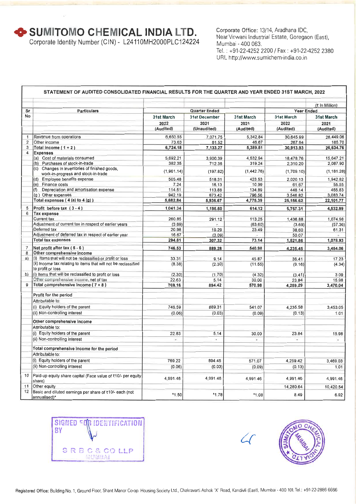$\bullet$  **SUMITOMO CHEMICAL INDIA LTD.** 

Corporate Identity Number (CIN) - L24110MH2000PLC124224

Corporate Office: 13/14, Aradhana IDC, Near Virwani Industrial Estate, Goregaon (East), Mumbai - 400 063. Tel.: +91-22-4252 2200 / Fax : +91-22-4252 2380 URL http://www.sumichem-india.co.in

| Sr             |                                                                                      |                   | <b>Quarter Ended</b> |                   | <b>Year Ended</b> | (₹ In Million)    |
|----------------|--------------------------------------------------------------------------------------|-------------------|----------------------|-------------------|-------------------|-------------------|
| No             | <b>Particulars</b>                                                                   |                   |                      |                   | 31st March        |                   |
|                |                                                                                      | <b>31st March</b> | <b>31st December</b> | <b>31st March</b> |                   | 31st March        |
|                |                                                                                      | 2022<br>(Audited) | 2021<br>(Unaudited)  | 2021<br>(Audited) | 2022<br>(Audited) | 2021<br>(Audited) |
|                |                                                                                      |                   |                      |                   |                   |                   |
| $\mathbf{1}$   | Revenue from operations                                                              | 6,650.55          | 7,071.75             | 5,342.84          | 30,645.99         | 26,449.06         |
| $\overline{2}$ | Other income                                                                         | 73.63             | 61.52                | 46.67             | 267.94            | 185.70            |
| 3<br>4         | Total income $(1 + 2)$                                                               | 6,724.18          | 7,133.27             | 5,389.51          | 30,913.93         | 26,634.76         |
|                | <b>Expenses</b><br>(a) Cost of materials consumed                                    | 5,692.21          | 3.900.39             | 4.532.94          | 18,478.76         | 15.647.21         |
|                | (b) Purchases of stock-in-trade                                                      | 382.35            | 712.36               | 319.24            | 2,310.20          | 2,087.90          |
|                | (c) Changes in inventories of finished goods,                                        |                   |                      |                   |                   |                   |
|                | work-in-progress and stock-in-trade                                                  | (1,961.14)        | (197.82)             | (1,442.76)        | (1,709.10)        | (1, 181.28)       |
|                | Employee benefits expense<br>(d)                                                     | 505.48            | 518.31               | 423.53            | 2.020.13          | 1,942.82          |
|                | Finance costs<br>(e)                                                                 | 7.24              | 16.13                | 10.99             | 61.67             | 55.55             |
|                | Depreciation and amortisation expense<br>(f)                                         | 114.51            | 113.88               | 134.89            | 448.14            | 465.83            |
|                | (g) Other expenses                                                                   | 942.19            | 873.42               | 796.56            | 3,546.82          | 3,083.74          |
|                | Total expenses $(4(a)$ to $4(g)$ )                                                   | 5,682.84          | 5,936.67             | 4,775.39          | 25,156.62         | 22,101.77         |
| 5              | Profit before tax (3-4)                                                              | 1,041.34          | 1,196.60             | 614.12            | 5,757.31          | 4,532.99          |
| 6              | <b>Tax expense</b>                                                                   |                   |                      |                   |                   |                   |
|                | <b>Current tax</b>                                                                   | 260.85            | 291.12               | 113.25            | 1,436.88          | 1,074.98          |
|                | Adjustment of current tax in respect of earlier years                                | (3.69)            |                      | (63.60)           | (3.69)            | (57.36)           |
|                | Deferred tax                                                                         | 20.98             | 19.29                | 23.49             | 38.60             | 61.31             |
|                | Adjustment of deferred tax in respect of earlier year                                | 16.67             | (3.09)               |                   | 50.07             |                   |
|                | <b>Total tax expenses</b>                                                            | 294.81            | 307.32               | 73.14             | 1,521.86          | 1,078.93          |
| $\overline{7}$ | Net profit after tax $(5 - 6)$                                                       | 746.53            | 889.28               | 540.98            | 4,235.45          | 3,454.06          |
| 8              | Other comprehensive income                                                           |                   |                      |                   |                   |                   |
| a)             | (i) Items that will not be reclassified or profit or loss                            | 33.31             | 9.14                 | 45.87             | 36.41             | 17.23             |
|                | (ii) Income tax relating to items that will not be reclassified<br>to profit or loss | (8.38)            | (2.30)               | (11.55)           | (9.16)            | (4.34)            |
| b)             | (i) Items that will be reclassified to profit or loss                                | (2.30)            | (1.70)               | (4.32)            | (3.41)            | 3.09              |
|                | Other comprehensive income, net of tax                                               | 22.63             | 5.14                 | 30.00             | 23.84             | 15.98             |
| 9              | Total comprehensive income $(7 + 8)$                                                 | 769.16            | 894.42               | 570.98            | 4,259.29          | 3,470.04          |
|                | Profit for the period                                                                |                   |                      |                   |                   |                   |
|                | Attributable to:                                                                     |                   |                      |                   |                   |                   |
|                | (i) Equity holders of the parent                                                     | 746.59            | 889.31               | 541.07            | 4,235.58          | 3,453.05          |
|                | (ii) Non-controlling interest                                                        | (0.06)            | (0.03)               | (0.09)            | (0.13)            | 1.01              |
|                |                                                                                      |                   |                      |                   |                   |                   |
|                | Other comprehensive Income                                                           |                   |                      |                   |                   |                   |
|                | Attributable to:                                                                     |                   |                      |                   |                   |                   |
|                | (i) Equity holders of the parent                                                     | 22.63             | 5.14                 | 30.00             | 23.84             | 15.98             |
|                | (ii) Non-controlling interest                                                        | ¥.                | $\sim$               | ¥                 | ÷                 | $\omega$          |
|                | Total comprehensive income for the period                                            |                   |                      |                   |                   |                   |
|                | Attributable to:                                                                     |                   |                      |                   |                   |                   |
|                | (i) Equity holders of the parent                                                     | 769.22            | 894.45               | 571.07            | 4.259.42          | 3.469.03          |
|                | (ii) Non-controlling interest                                                        | (0.06)            | (0.03)               | (0.09)            | (0.13)            | 1.01              |
|                |                                                                                      |                   |                      |                   |                   |                   |
| 10             | Paid-up equity share capital (Face value of ₹10/- per equity                         | 4.991.46          | 4,991.46             | 4,991.46          | 4,991.46          | 4,991.46          |
|                | share)                                                                               |                   |                      |                   |                   |                   |
|                |                                                                                      |                   |                      |                   |                   |                   |
| 11<br>12       | Other equity<br>Basic and diluted earnings per share of ₹10/- each (not              |                   |                      |                   | 14,280.64         | 10,420.54         |



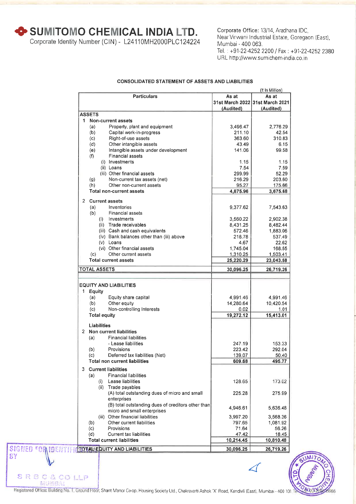**\* SUMITOMO CHEMICAL INDIA LTD.** 

Corporate Identity Number (CIN) - L24110MH2000PLC124224

Corporate Office: 13/14, Aradhana IDC, Near Virwani Industrial Estate, Goregaon (East), Mumbai - 400 063. Tel.: +91-22-4252 2200 / Fax : +91-22-4252 2380 URL http://www.sumichem-india.co.in

#### **CONSOLIDATED STATEMENT OF ASSETS AND LIABILITIES**

|                                                            |                    | (र In Million)                  |
|------------------------------------------------------------|--------------------|---------------------------------|
| <b>Particulars</b>                                         | As at              | As at                           |
|                                                            |                    | 31st March 2022 31st March 2021 |
|                                                            | (Audited)          | (Audited)                       |
| <b>ASSETS</b>                                              |                    |                                 |
| 1 Non-current assets                                       |                    |                                 |
| Property, plant and equipment<br>(a)                       | 3,496.47           | 2,776.29                        |
| Capital work-in-progress<br>(b)                            | 211.10             | 42.54                           |
| Right-of-use assets<br>(c)                                 | 363.60             | 310.83                          |
| (d)<br>Other intangible assets                             | 43.49              | 6.15                            |
| Intangible assets under development<br>(e)                 | 141.06             | 99.58                           |
| <b>Financial assets</b><br>(f)                             |                    |                                 |
| (i) Investments                                            | 1.15               | 1.15                            |
| (ii) Loans                                                 | 7.54               | 7.59                            |
| (iii) Other financial assets                               | 299.99             | 52.29                           |
| Non-current tax assets (net)<br>(g)                        | 216.29             | 203.60                          |
| Other non-current assets<br>(h)                            | 95.27              | 175.66                          |
| <b>Total non-current assets</b>                            | 4,875.96           | 3,675.68                        |
|                                                            |                    |                                 |
| 2<br><b>Current assets</b>                                 |                    |                                 |
| (a)<br>Inventories                                         | 9,377.62           | 7,543.63                        |
| (b)<br>Financial assets                                    |                    |                                 |
| (i) Investments                                            | 3,560.22           | 2,902.38                        |
| (ii) Trade receivables                                     | 8,431.25           | 8,482.44                        |
| (iii) Cash and cash equivalents                            | 572.46             | 1,883.06                        |
| (iv) Bank balances other than (iii) above                  | 218.78             | 537.49                          |
| $(v)$ Loans<br>(vi) Other financial assets                 | 4.67               | 22.62                           |
|                                                            | 1,745.04           | 168.55                          |
| Other current assets<br>(c)<br><b>Total current assets</b> | 1,310.25           | 1,503.41                        |
|                                                            | 25,220.29          | 23,043.58                       |
| <b>TOTAL ASSETS</b>                                        | 30,096.25          | 26,719.26                       |
|                                                            |                    |                                 |
|                                                            |                    |                                 |
| <b>EQUITY AND LIABILITIES</b>                              |                    |                                 |
| 1 Equity                                                   |                    |                                 |
| (a)<br>Equity share capital                                | 4,991.46           | 4,991.46                        |
| Other equity<br>(b)                                        | 14,280.64          | 10,420.54                       |
| Non-controlling Interests<br>(c)                           | 0.02               | 1.01                            |
| <b>Total equity</b>                                        | 19,272.12          | 15,413.01                       |
| Liabilities                                                |                    |                                 |
| 2 Non current liabilities                                  |                    |                                 |
| <b>Financial liabilities</b><br>(a)                        |                    |                                 |
| - Lease liabilities                                        | 247.19             | 153.33                          |
| Provisions<br>(b)                                          | 223.42             | 292.04                          |
| (c)<br>Deferred tax liabilities (Net)                      | 139.07             | 50.40                           |
| <b>Total non current liabilities</b>                       | 609.68             | 495.77                          |
|                                                            |                    |                                 |
| <b>Current liabilities</b><br>3.                           |                    |                                 |
| <b>Financial liabilities</b><br>(a)                        |                    |                                 |
| Lease liabilities<br>(i)                                   | 128.65             | 173.02                          |
| (ii) Trade payables                                        |                    |                                 |
| (A) total outstanding dues of micro and small              | 225.28             | 275.99                          |
| enterprises                                                |                    |                                 |
| (B) total outstanding dues of creditors other than         | 4.946.61           | 5,636.48                        |
| micro and small enterprises                                |                    |                                 |
| (iii) Other financial liabilities                          | 3,997.20           | 3,568.36                        |
| Other current liabilities<br>(b)                           | 797.65             | 1,081.92                        |
| Provisions<br>(c)                                          | 71.64              | 56.26                           |
| <b>Current tax liabilities</b><br>(d)                      | 47.42<br>10,214.45 | 18.45                           |
| <b>Total current liabilities</b>                           |                    | 10,810.48                       |
| SIGNED COMMOENTIFI TOTAL EQUITY AND LIABILITIES            | 30,096.25          | 26,719.26                       |

Δ

SRBC&COLLP

BY

Registered Office: Building No. 1, Ground Floor, Shant Manor Co-op. Housing Society Ltd., Chakravarti Ashok 'X' Road, Kandivli (East), Mumbai - 400 101. IL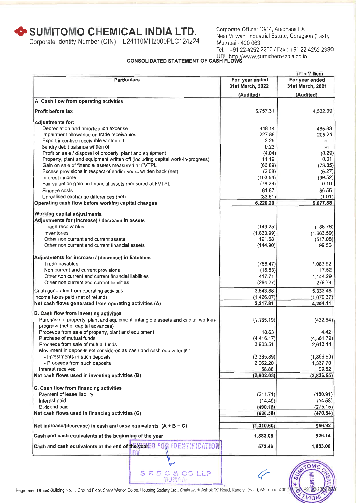# **+ SUMITOMO CHEMICAL INDIA LTD.** Corporate Office: 13/14, Aradhana IDC,

Corporate Identity Number (CIN) - L24110MH2000PLC124224 Mumbai - 400 063.

Near Virwani Industrial Estate, Goregaon (East), Tel. : +91-22-4252 2200 / Fax : +91-22-4252 2380

# URL http://www.sumichem-india.co.in **CONSOLIDATED STATEMENT OF CASH FLOWS**

|                                                                                                                             |                                    | (₹ In Million)                     |
|-----------------------------------------------------------------------------------------------------------------------------|------------------------------------|------------------------------------|
| <b>Particulars</b>                                                                                                          | For year ended<br>31st March, 2022 | For year ended<br>31st March, 2021 |
|                                                                                                                             | (Audited)                          | (Audited)                          |
| A. Cash flow from operating activities                                                                                      |                                    |                                    |
| <b>Profit before tax</b>                                                                                                    | 5,757.31                           | 4,532.99                           |
| <b>Adjustments for:</b>                                                                                                     |                                    |                                    |
| Depreciation and amortization expense                                                                                       | 448.14                             | 465.83                             |
| Impairment allowance on trade receivables                                                                                   | 227.86                             | 205.24                             |
| Export incentive receivable written off                                                                                     | 2.25                               | $\frac{1}{2}$                      |
| Sundry debit balance written off                                                                                            | 0.23                               | $\overline{\phantom{a}}$           |
| Profit on sale / disposal of property, plant and equipment                                                                  | (4.04)                             | (0.29)                             |
| Property, plant and equipment written off (including capital work-in-progress)                                              | 11.19                              | 0.01                               |
| Gain on sale of financial assets measured at FVTPL                                                                          | (66.89)                            | (73.85)                            |
| Excess provisions in respect of earlier years written back (net)<br>interest income                                         | (2.08)                             | (6.27)                             |
| Fair valuation gain on financial assets measured at FVTPL                                                                   | (103.54)<br>(78.29)                | (99.52)<br>0.10                    |
| Finance costs                                                                                                               | 61.67                              | 55.55                              |
| Unrealised exchange differences (net)                                                                                       | (33.61)                            | (1.91)                             |
| Operating cash flow before working capital changes                                                                          | 6,220.20                           | 5,077.88                           |
|                                                                                                                             |                                    |                                    |
| <b>Working capital adjustments</b>                                                                                          |                                    |                                    |
| Adjustments for (increase) / decrease in assets<br>Trade receivables                                                        |                                    |                                    |
| Inventories                                                                                                                 | (149.25)<br>(1,833.99)             | (188.76)                           |
| Other non current and current assets                                                                                        | 191.68                             | (1,663.59)<br>(517.08)             |
| Other non current and current financial assets                                                                              | (144.90)                           | 99.56                              |
|                                                                                                                             |                                    |                                    |
| Adjustments for increase / (decrease) in liabilities                                                                        |                                    |                                    |
| Trade payables                                                                                                              | (756.47)                           | 1,083.92                           |
| Non current and current provisions                                                                                          | (16.83)                            | 17.52                              |
| Other non current and current financial liabilities                                                                         | 417.71                             | 1,144.29                           |
| Other non current and current liabilities                                                                                   | (284.27)                           | 279.74                             |
| Cash generated from operating activities                                                                                    | 3,643.88                           | 5,333.48                           |
| Income taxes paid (net of refund)<br>Net cash flows generated from operating activities (A)                                 | (1,426.07)                         | (1,079.37)<br>4,254.11             |
|                                                                                                                             | 2,217.81                           |                                    |
| B. Cash flow from investing activities<br>Purchase of property, plant and equipment, intangible assets and capital work-in- |                                    |                                    |
| progress (net of capital advances)                                                                                          | (1, 135.19)                        | (432.64)                           |
| Proceeds from sale of property, plant and equipment                                                                         | 10.63                              | 4.42                               |
| Purchase of mutual funds                                                                                                    | (4, 416.17)                        | (4,581.79)                         |
| Proceeds from sale of mutual funds                                                                                          | 3,903.51                           | 2,613.14                           |
| Movement in deposits not considered as cash and cash equivalents :                                                          |                                    |                                    |
| - Investments in such deposits                                                                                              | (3,385.89)                         | (1,866.90)                         |
| - Proceeds from such deposits                                                                                               | 2,062.20                           | 1,337.70                           |
| Interest received<br>Net cash flows used in investing activities (B)                                                        | 58.88                              | 99.52                              |
|                                                                                                                             | (2,902.03)                         | (2,826.55)                         |
| C. Cash flow from financing activities                                                                                      |                                    |                                    |
| Payment of lease liability                                                                                                  | (211.71)                           | (180.91)                           |
| Interest paid                                                                                                               | (14.49)                            | (14.58)                            |
| Dividend paid                                                                                                               | (400.18)                           | (275.15)                           |
| Net cash flows used in financing activities (C)                                                                             | (626.38)                           | (470.64)                           |
| Net increase/(decrease) in cash and cash equivalents $(A + B + C)$                                                          | (1,310.60)                         | 956.92                             |
| Cash and cash equivalents at the beginning of the year                                                                      | 1,883.06                           | 926.14                             |
| Cash and cash equivalents at the end of <b>hGyGalED 『OR</b> IDENTIFICATION                                                  | 572.46                             | 1,883.06                           |
| RУ                                                                                                                          |                                    |                                    |
|                                                                                                                             |                                    |                                    |

Registered Office: Building No. 1, Ground Floor, Shant Manor Co-op. Housing Society Ltd., Chakravarti Ashok 'X' Road, Kandivli (East), Mumbai - 400 1

S R B C & CO LLP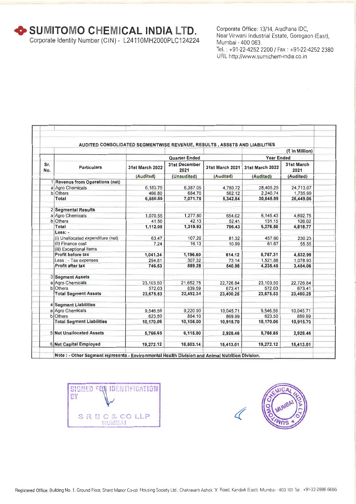**+SUMITOMO CHEVHCAL INDIA** LID.

Corporate Identity Number (CIN) - L24110MH2000PLC124224

Corporate Office: 13/14, Aradhana IDC, Near Virwani Industrial Estate, Goregaon (East), Mumbai - 400 063. Tel. : +91-22-4252 2200 / Fax : +91-22-4252 2380 URL http://www.sumichem-india.co.in

|            | AUDITED CONSOLIDATED SEGMENTWISE REVENUE, RESULTS, ASSETS AND LIABILITIES |                        |                                             |                              |                              |                                 |
|------------|---------------------------------------------------------------------------|------------------------|---------------------------------------------|------------------------------|------------------------------|---------------------------------|
|            |                                                                           |                        |                                             |                              |                              | (₹ In Million)                  |
|            | <b>Particulars</b>                                                        |                        | <b>Quarter Ended</b>                        | <b>Year Ended</b>            |                              |                                 |
| Sr.<br>No. |                                                                           | <b>31st March 2022</b> | <b>31st December</b><br>2021<br>(Unaudited) | 31st March 2021<br>(Audited) | 31st March 2022<br>(Audited) | 31st March<br>2021<br>(Audited) |
|            |                                                                           | (Audited)              |                                             |                              |                              |                                 |
|            | 1 Revenue from Operations (net)                                           |                        |                                             |                              |                              |                                 |
|            | a Agro Chemicals                                                          | 6,183.75               | 6.387.05                                    | 4.780.72                     | 28.405.25                    | 24.713.07                       |
|            | <b>b</b> Others                                                           | 466.80                 | 684.70                                      | 562.12                       | 2.240.74                     | 1,735.99                        |
|            | Total                                                                     | 6,650.55               | 7,071.75                                    | 5,342.84                     | 30,645.99                    | 26,449.06                       |
|            | 2 Segmental Results                                                       |                        |                                             |                              |                              |                                 |
|            | a Agro Chemicals                                                          | 1,070.55               | 1,277.80                                    | 654.02                       | 6,145.43                     | 4,692.75                        |
|            | b Others                                                                  | 41.50                  | 42.13                                       | 52.41                        | 131.15                       | 126.02                          |
|            | <b>Total</b>                                                              | 1,112.05               | 1,319.93                                    | 706.43                       | 6,276.58                     | 4,818.77                        |
|            | Less: -                                                                   |                        |                                             |                              |                              |                                 |
|            | (i) Unallocated expenditure (net)                                         | 63.47                  | 107.20                                      | 81.32                        | 457.60                       | 230.23                          |
|            | (ii) Finance cost                                                         | 7.24                   | 16.13                                       | 10.99                        | 61.67                        | 55.55                           |
|            | (iii) Exceptional items                                                   |                        |                                             |                              |                              |                                 |
|            | Profit before tax                                                         | 1,041.34               | 1,196.60                                    | 614.12                       | 5,757.31                     | 4,532.99                        |
|            | Less : - Tax expenses                                                     | 294.81                 | 307.32                                      | 73.14                        | 1,521.86                     | 1,078.93                        |
|            | <b>Profit after tax</b>                                                   | 746.53                 | 889.28                                      | 540.98                       | 4,235.45                     | 3,454.06                        |
|            | 3 Segment Assets                                                          |                        |                                             |                              |                              |                                 |
|            | a Agro Chemicals                                                          | 23,103.50              | 21,652.75                                   | 22,726.84                    | 23,103.50                    | 22,726.84                       |
|            | <b>b</b> Others                                                           | 572.03                 | 839.59                                      | 673.41                       | 572.03                       | 673.41                          |
|            | <b>Total Segment Assets</b>                                               | 23,675.53              | 22,492.34                                   | 23,400.25                    | 23,675.53                    | 23,400.25                       |
|            | 4 Segment Liabilities                                                     |                        |                                             |                              |                              |                                 |
|            | a Agro Chemicals                                                          | 9,546.56               | 9,220.90                                    | 10,045.71                    | 9,546.56                     | 10,045.71                       |
|            | <b>b</b> Others                                                           | 623.50                 | 884.10                                      | 869.99                       | 623.50                       | 869.99                          |
|            | <b>Total Segment Liabilities</b>                                          | 10,170.06              | 10,105.00                                   | 10,915.70                    | 10,170.06                    | 10,915.70                       |
|            | 5 Net Unallocated Assets                                                  | 5,766.65               | 6,115.80                                    | 2,928.46                     | 5,766.65                     | 2,928.46                        |
|            | 6 Net Capital Employed                                                    | 19,272.12              | 18,503.14                                   | 15,413.01                    | 19,272.12                    | 15,413.01                       |